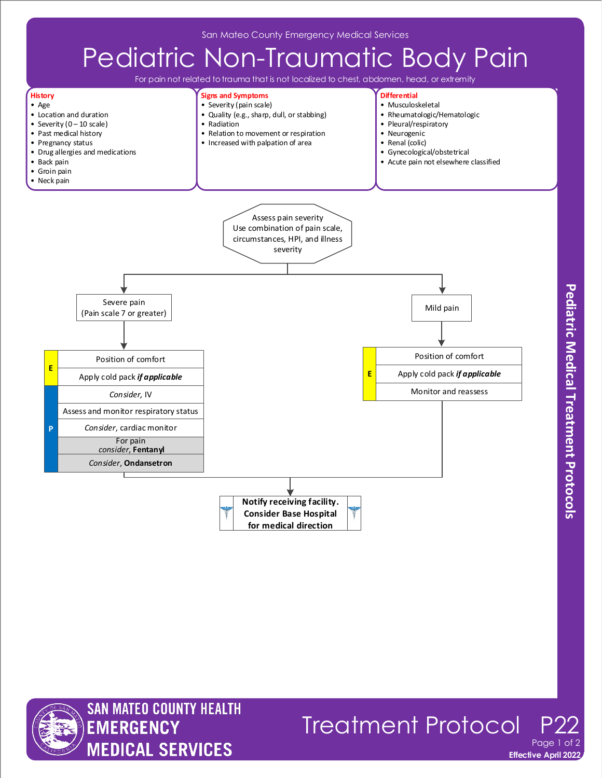